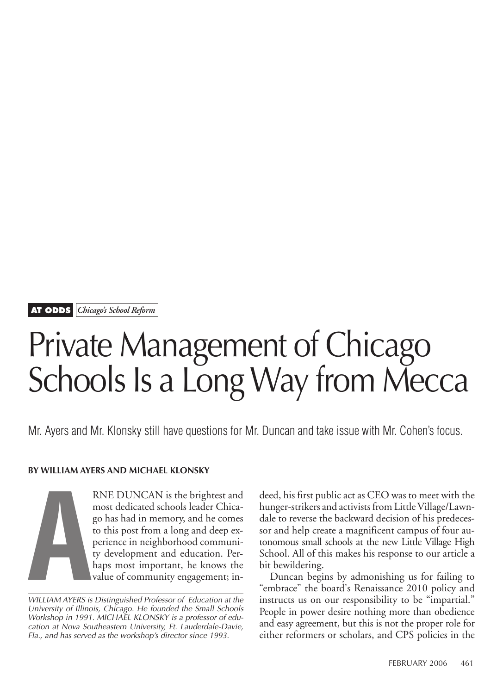**AT ODDS** *Chicago's School Reform*

# Private Management of Chicago Schools Is a Long Way from Mecca

Mr. Ayers and Mr. Klonsky still have questions for Mr. Duncan and take issue with Mr. Cohen's focus.

#### **BY WILLIAM AYERS AND MICHAEL KLONSKY**

**BY WILLIAM AY** RNE DUNCAN is the brightest and most dedicated schools leader Chicago has had in memory, and he comes to this post from a long and deep experience in neighborhood community development and education. Perhaps most important, he knows the value of community engagement; in-

*WILLIAM AYERS is Distinguished Professor of Education at the University of Illinois, Chicago. He founded the Small Schools Workshop in 1991. MICHAEL KLONSKY is a professor of education at Nova Southeastern University, Ft. Lauderdale-Davie, Fla., and has served as the workshop's director since 1993.*

deed, his first public act as CEO was to meet with the hunger-strikers and activists from Little Village/Lawndale to reverse the backward decision of his predecessor and help create a magnificent campus of four autonomous small schools at the new Little Village High School. All of this makes his response to our article a bit bewildering.

Duncan begins by admonishing us for failing to "embrace" the board's Renaissance 2010 policy and instructs us on our responsibility to be "impartial." People in power desire nothing more than obedience and easy agreement, but this is not the proper role for either reformers or scholars, and CPS policies in the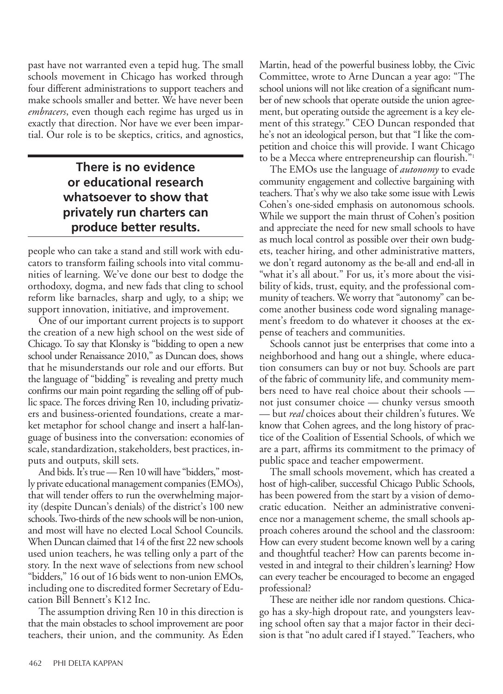past have not warranted even a tepid hug. The small schools movement in Chicago has worked through four different administrations to support teachers and make schools smaller and better. We have never been *embracers*, even though each regime has urged us in exactly that direction. Nor have we ever been impartial. Our role is to be skeptics, critics, and agnostics,

## **There is no evidence or educational research whatsoever to show that privately run charters can produce better results.**

people who can take a stand and still work with educators to transform failing schools into vital communities of learning. We've done our best to dodge the orthodoxy, dogma, and new fads that cling to school reform like barnacles, sharp and ugly, to a ship; we support innovation, initiative, and improvement.

One of our important current projects is to support the creation of a new high school on the west side of Chicago. To say that Klonsky is "bidding to open a new school under Renaissance 2010," as Duncan does, shows that he misunderstands our role and our efforts. But the language of "bidding" is revealing and pretty much confirms our main point regarding the selling off of public space. The forces driving Ren 10, including privatizers and business-oriented foundations, create a market metaphor for school change and insert a half-language of business into the conversation: economies of scale, standardization, stakeholders, best practices, inputs and outputs, skill sets.

And bids. It's true — Ren 10 will have "bidders," mostly private educational management companies (EMOs), that will tender offers to run the overwhelming majority (despite Duncan's denials) of the district's 100 new schools. Two-thirds of the new schools will be non-union, and most will have no elected Local School Councils. When Duncan claimed that 14 of the first 22 new schools used union teachers, he was telling only a part of the story. In the next wave of selections from new school "bidders," 16 out of 16 bids went to non-union EMOs, including one to discredited former Secretary of Education Bill Bennett's K12 Inc.

The assumption driving Ren 10 in this direction is that the main obstacles to school improvement are poor teachers, their union, and the community. As Eden

Martin, head of the powerful business lobby, the Civic Committee, wrote to Arne Duncan a year ago: "The school unions will not like creation of a significant number of new schools that operate outside the union agreement, but operating outside the agreement is a key element of this strategy." CEO Duncan responded that he's not an ideological person, but that "I like the competition and choice this will provide. I want Chicago to be a Mecca where entrepreneurship can flourish."1

The EMOs use the language of *autonomy* to evade community engagement and collective bargaining with teachers. That's why we also take some issue with Lewis Cohen's one-sided emphasis on autonomous schools. While we support the main thrust of Cohen's position and appreciate the need for new small schools to have as much local control as possible over their own budgets, teacher hiring, and other administrative matters, we don't regard autonomy as the be-all and end-all in "what it's all about." For us, it's more about the visibility of kids, trust, equity, and the professional community of teachers. We worry that "autonomy" can become another business code word signaling management's freedom to do whatever it chooses at the expense of teachers and communities.

Schools cannot just be enterprises that come into a neighborhood and hang out a shingle, where education consumers can buy or not buy. Schools are part of the fabric of community life, and community members need to have real choice about their schools not just consumer choice — chunky versus smooth — but *real* choices about their children's futures. We know that Cohen agrees, and the long history of practice of the Coalition of Essential Schools, of which we are a part, affirms its commitment to the primacy of public space and teacher empowerment.

The small schools movement, which has created a host of high-caliber, successful Chicago Public Schools, has been powered from the start by a vision of democratic education. Neither an administrative convenience nor a management scheme, the small schools approach coheres around the school and the classroom: How can every student become known well by a caring and thoughtful teacher? How can parents become invested in and integral to their children's learning? How can every teacher be encouraged to become an engaged professional?

These are neither idle nor random questions. Chicago has a sky-high dropout rate, and youngsters leaving school often say that a major factor in their decision is that "no adult cared if I stayed." Teachers, who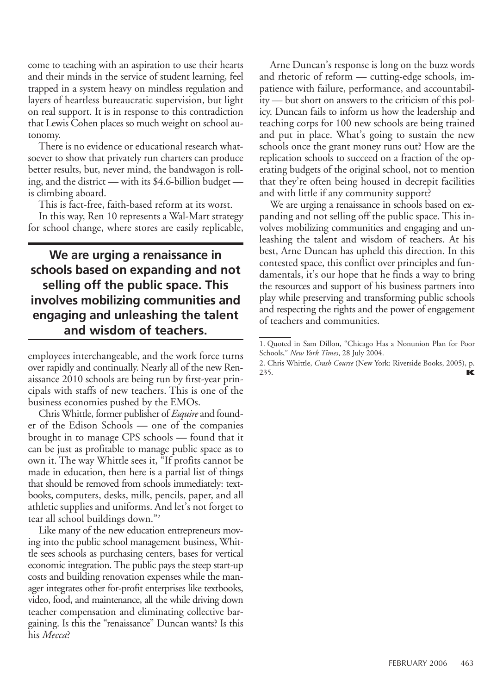come to teaching with an aspiration to use their hearts and their minds in the service of student learning, feel trapped in a system heavy on mindless regulation and layers of heartless bureaucratic supervision, but light on real support. It is in response to this contradiction that Lewis Cohen places so much weight on school autonomy.

There is no evidence or educational research whatsoever to show that privately run charters can produce better results, but, never mind, the bandwagon is rolling, and the district — with its \$4.6-billion budget is climbing aboard.

This is fact-free, faith-based reform at its worst.

In this way, Ren 10 represents a Wal-Mart strategy for school change, where stores are easily replicable,

## **We are urging a renaissance in schools based on expanding and not selling off the public space. This involves mobilizing communities and engaging and unleashing the talent and wisdom of teachers.**

employees interchangeable, and the work force turns over rapidly and continually. Nearly all of the new Renaissance 2010 schools are being run by first-year principals with staffs of new teachers. This is one of the business economies pushed by the EMOs.

Chris Whittle, former publisher of *Esquire* and founder of the Edison Schools — one of the companies brought in to manage CPS schools — found that it can be just as profitable to manage public space as to own it. The way Whittle sees it, "If profits cannot be made in education, then here is a partial list of things that should be removed from schools immediately: textbooks, computers, desks, milk, pencils, paper, and all athletic supplies and uniforms. And let's not forget to tear all school buildings down."2

Like many of the new education entrepreneurs moving into the public school management business, Whittle sees schools as purchasing centers, bases for vertical economic integration. The public pays the steep start-up costs and building renovation expenses while the manager integrates other for-profit enterprises like textbooks, video, food, and maintenance, all the while driving down teacher compensation and eliminating collective bargaining. Is this the "renaissance" Duncan wants? Is this his *Mecca*?

Arne Duncan's response is long on the buzz words and rhetoric of reform — cutting-edge schools, impatience with failure, performance, and accountability — but short on answers to the criticism of this policy. Duncan fails to inform us how the leadership and teaching corps for 100 new schools are being trained and put in place. What's going to sustain the new schools once the grant money runs out? How are the replication schools to succeed on a fraction of the operating budgets of the original school, not to mention that they're often being housed in decrepit facilities and with little if any community support?

We are urging a renaissance in schools based on expanding and not selling off the public space. This involves mobilizing communities and engaging and unleashing the talent and wisdom of teachers. At his best, Arne Duncan has upheld this direction. In this contested space, this conflict over principles and fundamentals, it's our hope that he finds a way to bring the resources and support of his business partners into play while preserving and transforming public schools and respecting the rights and the power of engagement of teachers and communities.

<sup>1.</sup> Quoted in Sam Dillon, "Chicago Has a Nonunion Plan for Poor Schools," *New York Times*, 28 July 2004.

<sup>2.</sup> Chris Whittle, *Crash Course* (New York: Riverside Books, 2005), p. 235. **K**